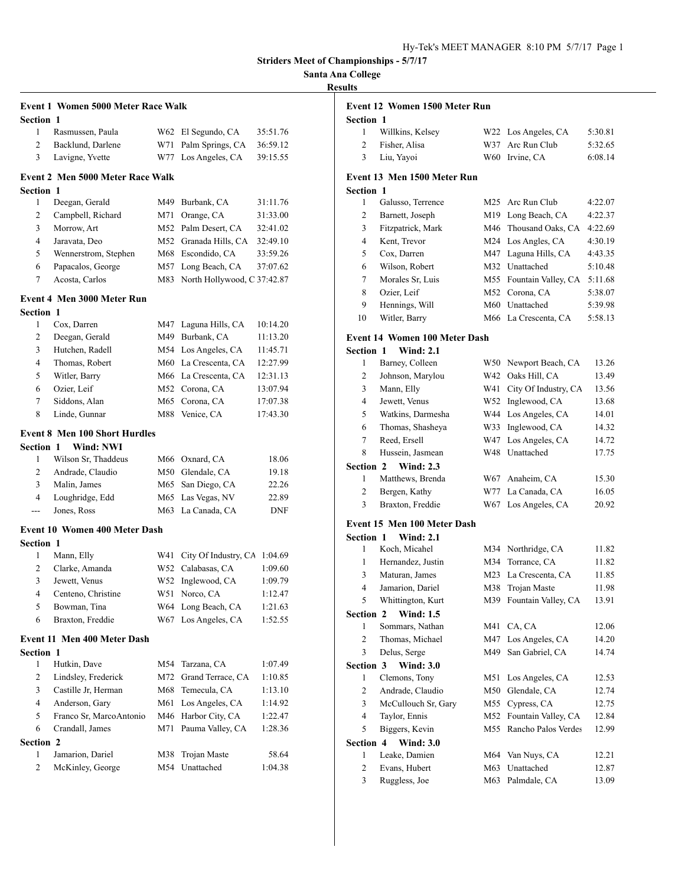**Santa Ana College**

## **Results**

|                  | <b>Event 1 Women 5000 Meter Race Walk</b> |     |                             |            |
|------------------|-------------------------------------------|-----|-----------------------------|------------|
| <b>Section 1</b> |                                           |     |                             |            |
| 1                | Rasmussen, Paula                          | W62 | El Segundo, CA              | 35:51.76   |
| $\overline{2}$   | Backlund, Darlene                         | W71 | Palm Springs, CA            | 36:59.12   |
| 3                | Lavigne, Yvette                           | W77 | Los Angeles, CA             | 39:15.55   |
|                  | <b>Event 2 Men 5000 Meter Race Walk</b>   |     |                             |            |
| <b>Section 1</b> |                                           |     |                             |            |
| 1                | Deegan, Gerald                            | M49 | Burbank, CA                 | 31:11.76   |
| $\overline{2}$   | Campbell, Richard                         | M71 | Orange, CA                  | 31:33.00   |
| 3                | Morrow, Art                               |     | M52 Palm Desert, CA         | 32:41.02   |
| $\overline{4}$   | Jaravata, Deo                             |     | M52 Granada Hills, CA       | 32:49.10   |
| 5                | Wennerstrom, Stephen                      |     | M68 Escondido, CA           | 33:59.26   |
| 6                | Papacalos, George                         | M57 | Long Beach, CA              | 37:07.62   |
| 7                | Acosta, Carlos                            | M83 | North Hollywood, C 37:42.87 |            |
|                  | <b>Event 4 Men 3000 Meter Run</b>         |     |                             |            |
| Section 1        |                                           |     |                             |            |
| 1                | Cox, Darren                               | M47 | Laguna Hills, CA            | 10:14.20   |
| 2                | Deegan, Gerald                            |     | M49 Burbank, CA             | 11:13.20   |
| 3                | Hutchen, Radell                           |     | M54 Los Angeles, CA         | 11:45.71   |
| $\overline{4}$   | Thomas, Robert                            |     | M60 La Crescenta, CA        | 12:27.99   |
| 5                | Witler, Barry                             |     | M66 La Crescenta, CA        | 12:31.13   |
| 6                | Ozier, Leif                               |     | M52 Corona, CA              | 13:07.94   |
| 7                | Siddons, Alan                             | M65 | Corona, CA                  | 17:07.38   |
| 8                | Linde, Gunnar                             | M88 | Venice, CA                  | 17:43.30   |
|                  | <b>Event 8 Men 100 Short Hurdles</b>      |     |                             |            |
| Section 1        | Wind: NWI                                 |     |                             |            |
| 1                | Wilson Sr, Thaddeus                       |     | M66 Oxnard, CA              | 18.06      |
| 2                | Andrade, Claudio                          |     | M50 Glendale, CA            | 19.18      |
| 3                | Malin, James                              | M65 | San Diego, CA               | 22.26      |
| $\overline{4}$   | Loughridge, Edd                           |     | M65 Las Vegas, NV           | 22.89      |
| ---              | Jones, Ross                               | M63 | La Canada, CA               | <b>DNF</b> |
|                  | <b>Event 10 Women 400 Meter Dash</b>      |     |                             |            |
| Section 1        |                                           |     |                             |            |
| 1                | Mann, Elly                                | W41 | City Of Industry, CA        | 1:04.69    |
| 2                | Clarke, Amanda                            | W52 | Calabasas, CA               | 1:09.60    |
| 3                | Jewett, Venus                             | W52 | Inglewood, CA               | 1:09.79    |
| 4                | Centeno, Christine                        | W51 | Norco, CA                   | 1:12.47    |
| 5                | Bowman, Tina                              | W64 | Long Beach, CA              | 1:21.63    |
| 6                | Braxton, Freddie                          | W67 | Los Angeles, CA             | 1:52.55    |
|                  | Event 11 Men 400 Meter Dash               |     |                             |            |
| <b>Section 1</b> |                                           |     |                             |            |
| 1                | Hutkin, Dave                              | M54 | Tarzana, CA                 | 1:07.49    |
| 2                | Lindsley, Frederick                       | M72 | Grand Terrace, CA           | 1:10.85    |
| 3                | Castille Jr, Herman                       | M68 | Temecula, CA                | 1:13.10    |
| 4                | Anderson, Gary                            | M61 | Los Angeles, CA             | 1:14.92    |
| 5                | Franco Sr, MarcoAntonio                   | M46 | Harbor City, CA             | 1:22.47    |
| 6                | Crandall, James                           | M71 | Pauma Valley, CA            | 1:28.36    |
| <b>Section 2</b> |                                           |     |                             |            |
| 1                | Jamarion, Dariel                          | M38 | Trojan Maste                | 58.64      |
| 2                | McKinley, George                          | M54 | Unattached                  | 1:04.38    |
|                  |                                           |     |                             |            |

| uns            |                                      |     |                                |         |
|----------------|--------------------------------------|-----|--------------------------------|---------|
|                | Event 12 Women 1500 Meter Run        |     |                                |         |
| Section 1      |                                      |     |                                |         |
| 1              | Willkins, Kelsey                     | W22 | Los Angeles, CA                | 5:30.81 |
| $\overline{c}$ | Fisher, Alisa                        | W37 | Arc Run Club                   | 5:32.65 |
| 3              | Liu, Yayoi                           |     | W60 Irvine, CA                 | 6:08.14 |
|                | Event 13 Men 1500 Meter Run          |     |                                |         |
| Section 1      |                                      |     |                                |         |
| 1              | Galusso, Terrence                    |     | M25 Arc Run Club               | 4:22.07 |
| $\overline{c}$ | Barnett, Joseph                      |     | M <sub>19</sub> Long Beach, CA | 4:22.37 |
| 3              | Fitzpatrick, Mark                    | M46 | Thousand Oaks, CA              | 4:22.69 |
| 4              | Kent. Trevor                         |     | M24 Los Angles, CA             | 4:30.19 |
| 5              | Cox, Darren                          |     | M47 Laguna Hills, CA           | 4:43.35 |
| 6              | Wilson, Robert                       |     | M32 Unattached                 | 5:10.48 |
| 7              | Morales Sr, Luis                     | M55 | Fountain Valley, CA            | 5:11.68 |
| 8              | Ozier, Leif                          |     | M52 Corona, CA                 | 5:38.07 |
| 9              | Hennings, Will                       |     | M60 Unattached                 | 5:39.98 |
| 10             | Witler, Barry                        | M66 | La Crescenta, CA               | 5:58.13 |
|                | <b>Event 14 Women 100 Meter Dash</b> |     |                                |         |
| Section 1      | <b>Wind: 2.1</b>                     |     |                                |         |
| 1              | Barney, Colleen                      | W50 | Newport Beach, CA              | 13.26   |
| $\overline{c}$ | Johnson, Marylou                     | W42 | Oaks Hill, CA                  | 13.49   |
| 3              | Mann, Elly                           | W41 | City Of Industry, CA           | 13.56   |
| 4              | Jewett, Venus                        | W52 | Inglewood, CA                  | 13.68   |
| 5              | Watkins, Darmesha                    | W44 | Los Angeles, CA                | 14.01   |
| 6              | Thomas, Shasheya                     | W33 | Inglewood, CA                  | 14.32   |
| 7              | Reed, Ersell                         | W47 | Los Angeles, CA                | 14.72   |
| 8              | Hussein, Jasmean                     |     | W48 Unattached                 | 17.75   |
| Section 2      | <b>Wind: 2.3</b>                     |     |                                |         |
| 1              | Matthews, Brenda                     |     | W67 Anaheim, CA                | 15.30   |
| $\overline{c}$ | Bergen, Kathy                        |     | W77 La Canada, CA              | 16.05   |
| 3              | Braxton, Freddie                     | W67 | Los Angeles, CA                | 20.92   |
|                | Event 15 Men 100 Meter Dash          |     |                                |         |
| Section 1      | <b>Wind: 2.1</b>                     |     |                                |         |
| 1              | Koch, Micahel                        |     | M34 Northridge, CA             | 11.82   |
| 1              | Hernandez, Justin                    |     | M34 Torrance, CA               | 11.82   |
| 3              | Maturan, James                       | M23 | La Crescenta, CA               | 11.85   |
| 4              | Jamarion, Dariel                     |     | M38 Trojan Maste               | 11.98   |
| 5              | Whittington, Kurt                    | M39 | Fountain Valley, CA            | 13.91   |
| Section 2      | <b>Wind: 1.5</b>                     |     |                                |         |
| 1              | Sommars, Nathan                      | M41 | CA, CA                         | 12.06   |
| $\overline{c}$ | Thomas, Michael                      | M47 | Los Angeles, CA                | 14.20   |
| 3              | Delus, Serge                         | M49 | San Gabriel, CA                | 14.74   |
| Section 3      | <b>Wind: 3.0</b>                     |     |                                |         |
| $\mathbf{1}$   | Clemons, Tony                        | M51 | Los Angeles, CA                | 12.53   |
| $\overline{c}$ | Andrade, Claudio                     | M50 | Glendale, CA                   | 12.74   |
| 3              | McCullouch Sr, Gary                  | M55 | Cypress, CA                    | 12.75   |
| 4              | Taylor, Ennis                        | M52 | Fountain Valley, CA            | 12.84   |
| 5              | Biggers, Kevin                       | M55 | Rancho Palos Verdes            | 12.99   |
| Section 4      | <b>Wind: 3.0</b>                     |     |                                |         |
| 1              | Leake, Damien                        | M64 | Van Nuys, CA                   | 12.21   |
| 2              | Evans, Hubert                        | M63 | Unattached                     | 12.87   |
| 3              | Ruggless, Joe                        | M63 | Palmdale, CA                   | 13.09   |
|                |                                      |     |                                |         |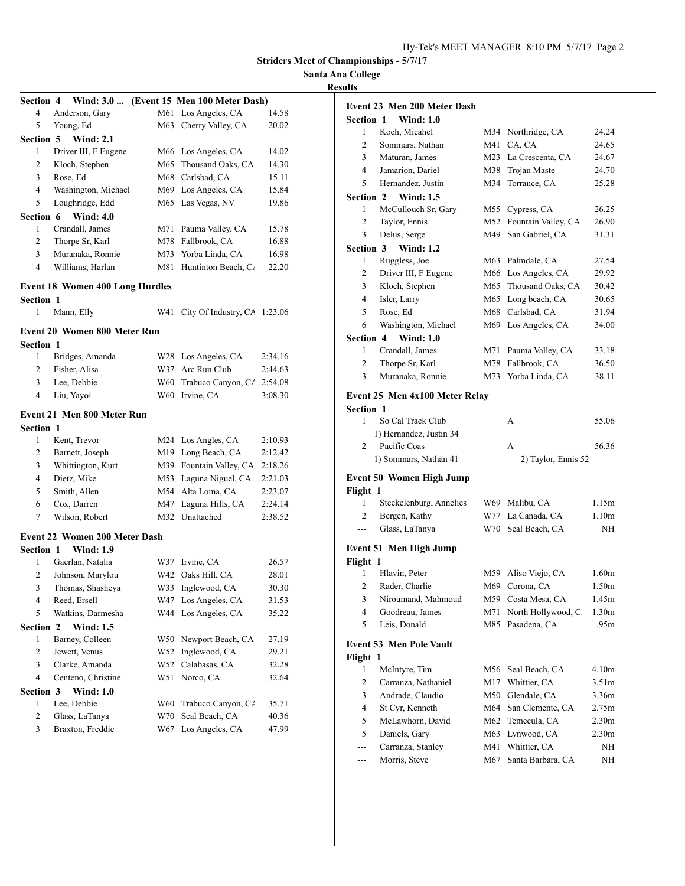## **Santa Ana College Results**

| <b>Section 4</b> | Wind: 3.0                              |     | (Event 15 Men 100 Meter Dash) |         |
|------------------|----------------------------------------|-----|-------------------------------|---------|
| 4                | Anderson, Gary                         | M61 | Los Angeles, CA               | 14.58   |
| 5                | Young, Ed                              | M63 | Cherry Valley, CA             | 20.02   |
| <b>Section 5</b> | <b>Wind: 2.1</b>                       |     |                               |         |
| 1                | Driver III, F Eugene                   | M66 | Los Angeles, CA               | 14.02   |
| 2                | Kloch, Stephen                         | M65 | Thousand Oaks, CA             | 14.30   |
| 3                | Rose, Ed                               | M68 | Carlsbad, CA                  | 15.11   |
| 4                | Washington, Michael                    | M69 | Los Angeles, CA               | 15.84   |
| 5                | Loughridge, Edd                        | M65 | Las Vegas, NV                 | 19.86   |
| Section 6        | <b>Wind: 4.0</b>                       |     |                               |         |
| 1                | Crandall, James                        | M71 | Pauma Valley, CA              | 15.78   |
| 2                | Thorpe Sr, Karl                        | M78 | Fallbrook, CA                 | 16.88   |
| 3                | Muranaka, Ronnie                       | M73 | Yorba Linda, CA               | 16.98   |
| 4                | Williams, Harlan                       | M81 | Huntinton Beach, C/           | 22.20   |
|                  | <b>Event 18 Women 400 Long Hurdles</b> |     |                               |         |
| <b>Section 1</b> |                                        |     |                               |         |
| $\mathbf{1}$     | Mann, Elly                             | W41 | City Of Industry, CA 1:23.06  |         |
|                  |                                        |     |                               |         |
|                  | Event 20 Women 800 Meter Run           |     |                               |         |
| <b>Section 1</b> |                                        |     |                               |         |
| 1                | Bridges, Amanda                        | W28 | Los Angeles, CA               | 2:34.16 |
| 2                | Fisher, Alisa                          | W37 | Arc Run Club                  | 2:44.63 |
| 3                | Lee, Debbie                            | W60 | Trabuco Canyon, CA 2:54.08    |         |
| $\overline{4}$   | Liu, Yayoi                             | W60 | Irvine, CA                    | 3:08.30 |
|                  | Event 21 Men 800 Meter Run             |     |                               |         |
| <b>Section 1</b> |                                        |     |                               |         |
| 1                | Kent, Trevor                           | M24 | Los Angles, CA                | 2:10.93 |
| 2                | Barnett, Joseph                        | M19 | Long Beach, CA                | 2:12.42 |
| 3                | Whittington, Kurt                      | M39 | Fountain Valley, CA           | 2:18.26 |
| $\overline{4}$   | Dietz, Mike                            | M53 | Laguna Niguel, CA             | 2:21.03 |
| 5                | Smith, Allen                           | M54 | Alta Loma, CA                 | 2:23.07 |
| 6                | Cox, Darren                            | M47 | Laguna Hills, CA              | 2:24.14 |
| 7                | Wilson, Robert                         | M32 | Unattached                    | 2:38.52 |
|                  |                                        |     |                               |         |
|                  | <b>Event 22 Women 200 Meter Dash</b>   |     |                               |         |
| <b>Section 1</b> | <b>Wind: 1.9</b>                       |     |                               |         |
| 1                | Gaerlan, Natalia                       | W37 | Irvine, CA                    | 26.57   |
| 2                | Johnson, Marylou                       | W42 | Oaks Hill, CA                 | 28.01   |
| 3                | Thomas, Shasheya                       |     | W33 Inglewood, CA             | 30.30   |
| 4                | Reed, Ersell                           | W47 | Los Angeles, CA               | 31.53   |
| 5                | Watkins, Darmesha                      | W44 | Los Angeles, CA               | 35.22   |
| Section 2        | <b>Wind: 1.5</b>                       |     |                               |         |
| 1                | Barney, Colleen                        | W50 | Newport Beach, CA             | 27.19   |
| 2                | Jewett, Venus                          | W52 | Inglewood, CA                 | 29.21   |
| 3                | Clarke, Amanda                         | W52 | Calabasas, CA                 | 32.28   |
| 4                | Centeno, Christine                     | W51 | Norco, CA                     | 32.64   |
| Section 3        | <b>Wind: 1.0</b>                       |     |                               |         |
| $\mathbf{1}$     | Lee, Debbie                            | W60 | Trabuco Canyon, CA            | 35.71   |
| $\overline{c}$   | Glass, LaTanya                         | W70 | Seal Beach, CA                | 40.36   |
| 3                | Braxton, Freddie                       | W67 | Los Angeles, CA               | 47.99   |
|                  |                                        |     |                               |         |

| lts                   |                                      |            |                                |                                        |
|-----------------------|--------------------------------------|------------|--------------------------------|----------------------------------------|
|                       | Event 23 Men 200 Meter Dash          |            |                                |                                        |
| <b>Section 1</b>      | <b>Wind: 1.0</b>                     |            |                                |                                        |
| 1                     | Koch, Micahel                        | M34        | Northridge, CA                 | 24.24                                  |
| 2                     | Sommars, Nathan                      | M41        | CA, CA                         | 24.65                                  |
| 3                     | Maturan, James                       | M23        | La Crescenta, CA               | 24.67                                  |
| 4                     | Jamarion, Dariel                     | M38        | Trojan Maste                   | 24.70                                  |
| 5                     | Hernandez, Justin                    | M34        | Torrance, CA                   | 25.28                                  |
| <b>Section 2</b>      | <b>Wind: 1.5</b>                     |            |                                |                                        |
| 1                     | McCullouch Sr, Gary                  | M55        | Cypress, CA                    | 26.25                                  |
| $\overline{c}$        | Taylor, Ennis                        | M52        | Fountain Valley, CA            | 26.90                                  |
| 3                     | Delus, Serge                         | M49        | San Gabriel, CA                | 31.31                                  |
| <b>Section 3</b>      | <b>Wind: 1.2</b>                     |            |                                |                                        |
| 1                     | Ruggless, Joe                        | M63        | Palmdale, CA                   | 27.54                                  |
| 2                     | Driver III, F Eugene                 | M66        | Los Angeles, CA                | 29.92                                  |
| 3                     | Kloch, Stephen                       | M65        | Thousand Oaks, CA              | 30.42                                  |
| 4                     | Isler, Larry                         | M65        | Long beach, CA                 | 30.65                                  |
| 5                     | Rose, Ed                             | M68        | Carlsbad, CA                   | 31.94                                  |
| 6                     | Washington, Michael                  | M69        | Los Angeles, CA                |                                        |
|                       |                                      |            |                                | 34.00                                  |
| <b>Section 4</b><br>1 | <b>Wind: 1.0</b><br>Crandall, James  | M71        | Pauma Valley, CA               |                                        |
| 2                     |                                      | M78        | Fallbrook, CA                  | 33.18                                  |
| 3                     | Thorpe Sr, Karl                      |            |                                | 36.50                                  |
|                       | Muranaka, Ronnie                     | M73        | Yorba Linda, CA                | 38.11                                  |
|                       | Event 25 Men 4x100 Meter Relay       |            |                                |                                        |
| <b>Section 1</b>      |                                      |            |                                |                                        |
| 1                     | So Cal Track Club                    |            | А                              | 55.06                                  |
|                       | 1) Hernandez, Justin 34              |            |                                |                                        |
| 2                     | Pacific Coas                         |            | A                              | 56.36                                  |
|                       | 1) Sommars, Nathan 41                |            | 2) Taylor, Ennis 52            |                                        |
|                       | <b>Event 50 Women High Jump</b>      |            |                                |                                        |
| Flight 1              |                                      |            |                                |                                        |
| 1                     | Steekelenburg, Annelies              |            | W69 Malibu, CA                 | 1.15m                                  |
| 2                     | Bergen, Kathy                        | W77        | La Canada, CA                  | 1.10 <sub>m</sub>                      |
| ---                   | Glass, LaTanya                       | W70        | Seal Beach, CA                 | NH                                     |
|                       |                                      |            |                                |                                        |
|                       | Event 51 Men High Jump               |            |                                |                                        |
| Flight 1              |                                      |            |                                |                                        |
| 1                     | Hlavin, Peter                        | M59        | Aliso Viejo, CA                | 1.60 <sub>m</sub>                      |
| $\overline{2}$        | Rader, Charlie                       |            | M69 Corona, CA                 | 1.50m                                  |
| 3                     | Niroumand, Mahmoud                   | M59 -      | Costa Mesa, CA                 | 1.45m                                  |
| 4                     | Goodreau, James                      | M71        | North Hollywood, C.            | 1.30 <sub>m</sub>                      |
| 5                     | Leis, Donald                         | M85        | Pasadena, CA                   | .95m                                   |
|                       | <b>Event 53 Men Pole Vault</b>       |            |                                |                                        |
|                       |                                      |            |                                |                                        |
| Flight 1<br>1         |                                      | M56        |                                | 4.10m                                  |
| 2                     | McIntyre, Tim<br>Carranza, Nathaniel | M17        | Seal Beach, CA<br>Whittier, CA | 3.51m                                  |
| 3                     | Andrade, Claudio                     | M50        | Glendale, CA                   | 3.36m                                  |
| 4                     | St Cyr, Kenneth                      | M64        | San Clemente, CA               | 2.75m                                  |
| 5                     | McLawhorn, David                     |            | Temecula, CA                   |                                        |
| 5                     | Daniels, Gary                        | M62<br>M63 | Lynwood, CA                    | 2.30 <sub>m</sub><br>2.30 <sub>m</sub> |
|                       |                                      | M41        | Whittier, CA                   |                                        |
|                       | Carranza, Stanley                    |            |                                | NΗ                                     |

--- Morris, Steve M67 Santa Barbara, CA NH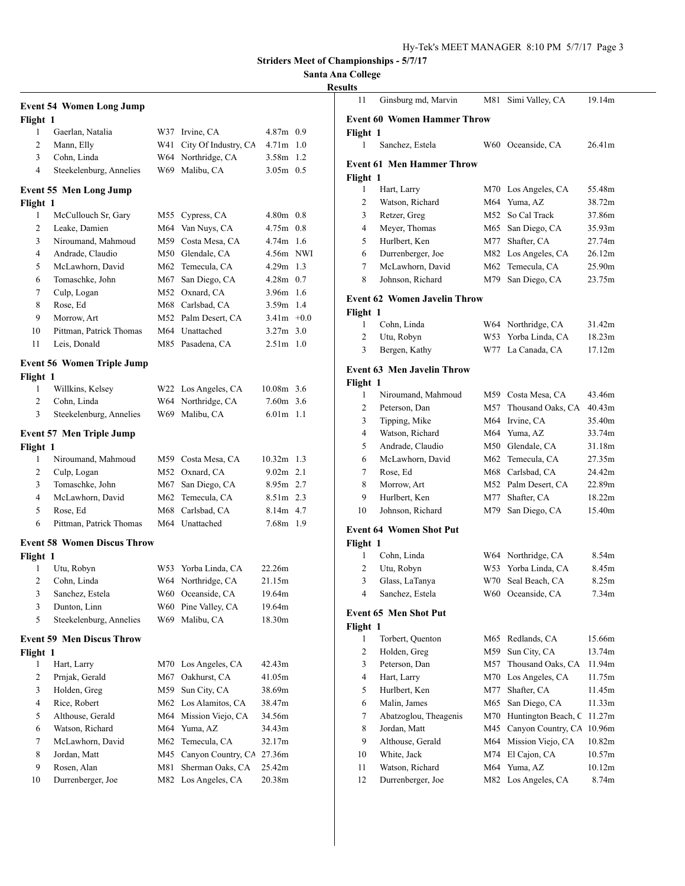## **Santa Ana College**

## **Results**

|                | <b>Event 54 Women Long Jump</b>    |     |                       |               |     |
|----------------|------------------------------------|-----|-----------------------|---------------|-----|
| Flight 1       |                                    |     |                       |               |     |
| 1              | Gaerlan, Natalia                   |     | W37 Irvine, CA        | $4.87m$ 0.9   |     |
| 2              | Mann, Elly                         | W41 | City Of Industry, CA  | $4.71m$ 1.0   |     |
| 3              | Cohn, Linda                        |     | W64 Northridge, CA    | 3.58m 1.2     |     |
| $\overline{4}$ | Steekelenburg, Annelies            |     | W69 Malibu, CA        | $3.05m$ 0.5   |     |
|                | <b>Event 55 Men Long Jump</b>      |     |                       |               |     |
| Flight 1       |                                    |     |                       |               |     |
| 1              | McCullouch Sr, Gary                | M55 | Cypress, CA           | $4.80m$ 0.8   |     |
| 2              | Leake, Damien                      | M64 | Van Nuys, CA          | 4.75m         | 0.8 |
| 3              | Niroumand, Mahmoud                 |     | M59 Costa Mesa, CA    | $4.74m$ 1.6   |     |
| 4              | Andrade, Claudio                   |     | M50 Glendale, CA      | 4.56m NWI     |     |
| 5              | McLawhorn, David                   |     | M62 Temecula, CA      | $4.29m$ 1.3   |     |
| 6              | Tomaschke, John                    |     | M67 San Diego, CA     | $4.28m$ 0.7   |     |
| 7              | Culp, Logan                        |     | M52 Oxnard, CA        | 3.96m 1.6     |     |
| 8              | Rose, Ed                           |     | M68 Carlsbad, CA      | 3.59m 1.4     |     |
| 9              | Morrow, Art                        |     | M52 Palm Desert, CA   | $3.41m + 0.0$ |     |
| 10             | Pittman, Patrick Thomas            |     | M64 Unattached        | $3.27m$ 3.0   |     |
| 11             | Leis, Donald                       |     | M85 Pasadena, CA      | $2.51m$ 1.0   |     |
|                | <b>Event 56 Women Triple Jump</b>  |     |                       |               |     |
| Flight 1       |                                    |     |                       |               |     |
| 1              | Willkins, Kelsey                   |     | W22 Los Angeles, CA   | 10.08m 3.6    |     |
| $\overline{2}$ | Cohn, Linda                        |     | W64 Northridge, CA    | $7.60m$ 3.6   |     |
| 3              | Steekelenburg, Annelies            |     | W69 Malibu, CA        | $6.01m$ 1.1   |     |
|                |                                    |     |                       |               |     |
|                | <b>Event 57 Men Triple Jump</b>    |     |                       |               |     |
| Flight 1<br>1  | Niroumand, Mahmoud                 |     | M59 Costa Mesa, CA    | $10.32m$ 1.3  |     |
| 2              | Culp, Logan                        | M52 | Oxnard, CA            | $9.02m$ 2.1   |     |
| 3              | Tomaschke, John                    | M67 | San Diego, CA         | $8.95m$ 2.7   |     |
| 4              | McLawhorn, David                   | M62 | Temecula, CA          | 8.51m 2.3     |     |
| 5              | Rose, Ed                           | M68 | Carlsbad, CA          | $8.14m$ 4.7   |     |
| 6              | Pittman, Patrick Thomas            |     | M64 Unattached        | 7.68m 1.9     |     |
|                | <b>Event 58 Women Discus Throw</b> |     |                       |               |     |
| Flight 1       |                                    |     |                       |               |     |
| 1              | Utu, Robyn                         |     | W53 Yorba Linda, CA   | 22.26m        |     |
| 2              | Cohn, Linda                        |     | W64 Northridge, CA    | 21.15m        |     |
| 3              | Sanchez, Estela                    |     | W60 Oceanside, CA     | 19.64m        |     |
| 3              | Dunton, Linn                       | W60 | Pine Valley, CA       | 19.64m        |     |
| 5              | Steekelenburg, Annelies            |     | W69 Malibu, CA        | 18.30m        |     |
|                | <b>Event 59 Men Discus Throw</b>   |     |                       |               |     |
| Flight 1       |                                    |     |                       |               |     |
| 1              | Hart, Larry                        | M70 | Los Angeles, CA       | 42.43m        |     |
| 2              | Prnjak, Gerald                     | M67 | Oakhurst, CA          | 41.05m        |     |
| 3              | Holden, Greg                       |     | M59 Sun City, CA      | 38.69m        |     |
| 4              | Rice, Robert                       |     | M62 Los Alamitos, CA  | 38.47m        |     |
| 5              | Althouse, Gerald                   |     | M64 Mission Viejo, CA | 34.56m        |     |
| 6              | Watson, Richard                    |     | M64 Yuma, AZ          | 34.43m        |     |
| 7              | McLawhorn, David                   | M62 | Temecula, CA          | 32.17m        |     |
| 8              | Jordan, Matt                       | M45 | Canyon Country, CA    | 27.36m        |     |
| 9              | Rosen, Alan                        | M81 | Sherman Oaks, CA      | 25.42m        |     |
| 10             | Durrenberger, Joe                  | M82 | Los Angeles, CA       | 20.38m        |     |
|                |                                    |     |                       |               |     |

| ults           |                                     |            |                     |        |
|----------------|-------------------------------------|------------|---------------------|--------|
| 11             | Ginsburg md, Marvin                 | M81        | Simi Valley, CA     | 19.14m |
|                | <b>Event 60 Women Hammer Throw</b>  |            |                     |        |
| Flight 1       |                                     |            |                     |        |
| 1              | Sanchez, Estela                     |            | W60 Oceanside, CA   | 26.41m |
|                |                                     |            |                     |        |
|                | <b>Event 61 Men Hammer Throw</b>    |            |                     |        |
| Flight 1       |                                     |            |                     |        |
| 1              | Hart, Larry                         | M70-       | Los Angeles, CA     | 55.48m |
| 2              | Watson, Richard                     | M64        | Yuma, AZ            | 38.72m |
| 3              | Retzer, Greg                        | M52        | So Cal Track        | 37.86m |
| 4              | Meyer, Thomas                       |            | M65 San Diego, CA   | 35.93m |
| 5              | Hurlbert, Ken                       |            | M77 Shafter, CA     | 27.74m |
| 6              | Durrenberger, Joe                   | M82        | Los Angeles, CA     | 26.12m |
| 7              | McLawhorn, David                    | M62        | Temecula, CA        | 25.90m |
| 8              | Johnson, Richard                    | M79        | San Diego, CA       | 23.75m |
|                | <b>Event 62 Women Javelin Throw</b> |            |                     |        |
| Flight 1       |                                     |            |                     |        |
| 1              | Cohn, Linda                         | W64        | Northridge, CA      | 31.42m |
| 2              | Utu, Robyn                          | W53        | Yorba Linda, CA     | 18.23m |
| 3              | Bergen, Kathy                       | W77        | La Canada, CA       | 17.12m |
|                | <b>Event 63 Men Javelin Throw</b>   |            |                     |        |
| Flight 1       |                                     |            |                     |        |
| 1              | Niroumand, Mahmoud                  | M59        | Costa Mesa, CA      | 43.46m |
| 2              | Peterson, Dan                       | M57        | Thousand Oaks, CA   | 40.43m |
| 3              | Tipping, Mike                       | M64        | Irvine, CA          | 35.40m |
| 4              | Watson, Richard                     | M64        | Yuma, AZ            | 33.74m |
| 5              | Andrade, Claudio                    |            | M50 Glendale, CA    | 31.18m |
| 6              | McLawhorn, David                    |            | M62 Temecula, CA    | 27.35m |
| 7              | Rose, Ed                            |            | M68 Carlsbad, CA    | 24.42m |
| 8              | Morrow, Art                         | M52        | Palm Desert, CA     | 22.89m |
| 9              | Hurlbert, Ken                       | M77        | Shafter, CA         | 18.22m |
| 10             | Johnson, Richard                    | M79        | San Diego, CA       | 15.40m |
|                |                                     |            |                     |        |
|                | <b>Event 64 Women Shot Put</b>      |            |                     |        |
| Flight 1       |                                     |            |                     |        |
| 1              | Cohn, Linda                         | W64        | Northridge, CA      | 8.54m  |
| $\overline{c}$ | Utu, Robyn                          | W53<br>W70 | Yorba Linda, CA     | 8.45m  |
| 3              | Glass, LaTanya                      |            | Seal Beach, CA      | 8.25m  |
| 4              | Sanchez, Estela                     |            | W60 Oceanside, CA   | 7.34m  |
|                | <b>Event 65 Men Shot Put</b>        |            |                     |        |
| Flight 1       |                                     |            |                     |        |
| 1              | Torbert, Quenton                    | M65        | Redlands, CA        | 15.66m |
| 2              | Holden, Greg                        | M59        | Sun City, CA        | 13.74m |
| 3              | Peterson, Dan                       | M57        | Thousand Oaks, CA   | 11.94m |
| 4              | Hart, Larry                         | M70        | Los Angeles, CA     | 11.75m |
| 5              | Hurlbert, Ken                       | M77        | Shafter, CA         | 11.45m |
| 6              | Malin, James                        | M65        | San Diego, CA       | 11.33m |
| 7              | Abatzoglou, Theagenis               | M70        | Huntington Beach, C | 11.27m |
| 8              | Jordan, Matt                        | M45        | Canyon Country, CA  | 10.96m |
| 9              | Althouse, Gerald                    | M64        | Mission Viejo, CA   | 10.82m |
| 10             | White, Jack                         | M74        | El Cajon, CA        | 10.57m |
| 11             | Watson, Richard                     | M64        | Yuma, AZ            | 10.12m |
| 12             | Durrenberger, Joe                   | M82        | Los Angeles, CA     | 8.74m  |